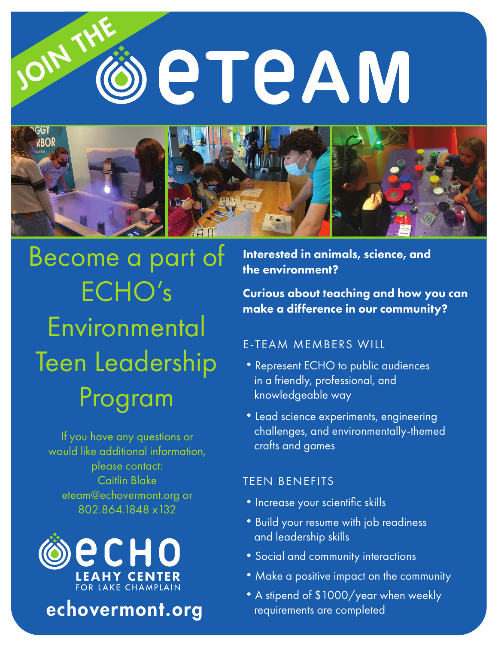# OIN eteAM



Become a part of ECHO's **Environmental** Teen Leadership Program

If you have any questions or would like additional information, please contact: Caitlin Blake eteam@echovermont.org or 802.864.1848 x132



echovermont.org

Interested in animals, science, and the environment?

Curious about teaching and how you can make a difference in our community?

# E-TEAM MEMBERS WILL

- •Represent ECHO to public audiences in a friendly, professional, and knowledgeable way
- •Lead science experiments, engineering challenges, and environmentally-themed crafts and games

# TEEN BENEFITS

- Increase your scientific skills
- •Build your resume with job readiness and leadership skills
- Social and community interactions
- •Make a positive impact on the community
- •A stipend of \$1000/year when weekly requirements are completed